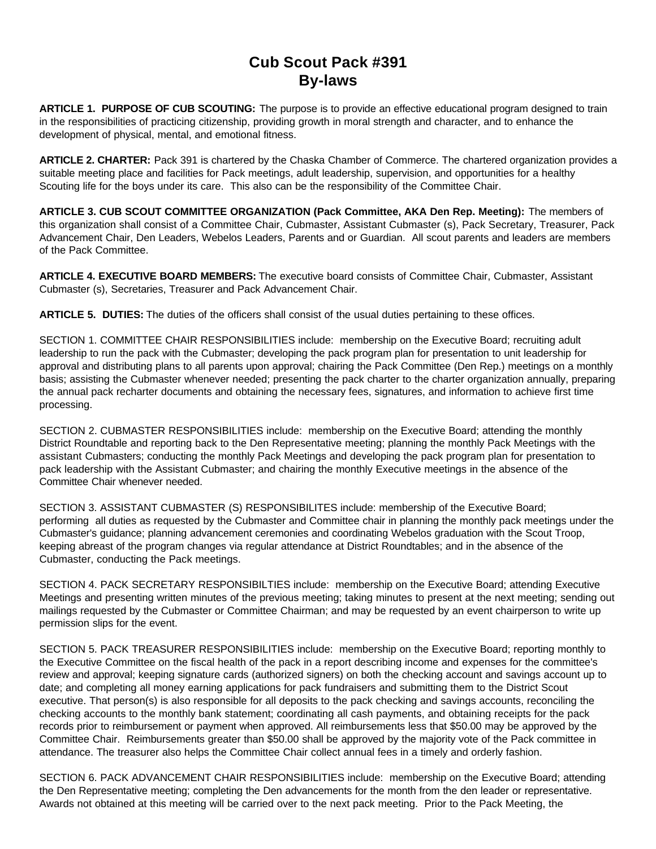# **Cub Scout Pack #391 By-laws**

**ARTICLE 1. PURPOSE OF CUB SCOUTING:** The purpose is to provide an effective educational program designed to train in the responsibilities of practicing citizenship, providing growth in moral strength and character, and to enhance the development of physical, mental, and emotional fitness.

**ARTICLE 2. CHARTER:** Pack 391 is chartered by the Chaska Chamber of Commerce. The chartered organization provides a suitable meeting place and facilities for Pack meetings, adult leadership, supervision, and opportunities for a healthy Scouting life for the boys under its care. This also can be the responsibility of the Committee Chair.

**ARTICLE 3. CUB SCOUT COMMITTEE ORGANIZATION (Pack Committee, AKA Den Rep. Meeting):** The members of this organization shall consist of a Committee Chair, Cubmaster, Assistant Cubmaster (s), Pack Secretary, Treasurer, Pack Advancement Chair, Den Leaders, Webelos Leaders, Parents and or Guardian. All scout parents and leaders are members of the Pack Committee.

**ARTICLE 4. EXECUTIVE BOARD MEMBERS:** The executive board consists of Committee Chair, Cubmaster, Assistant Cubmaster (s), Secretaries, Treasurer and Pack Advancement Chair.

**ARTICLE 5. DUTIES:** The duties of the officers shall consist of the usual duties pertaining to these offices.

SECTION 1. COMMITTEE CHAIR RESPONSIBILITIES include: membership on the Executive Board; recruiting adult leadership to run the pack with the Cubmaster; developing the pack program plan for presentation to unit leadership for approval and distributing plans to all parents upon approval; chairing the Pack Committee (Den Rep.) meetings on a monthly basis; assisting the Cubmaster whenever needed; presenting the pack charter to the charter organization annually, preparing the annual pack recharter documents and obtaining the necessary fees, signatures, and information to achieve first time processing.

SECTION 2. CUBMASTER RESPONSIBILITIES include: membership on the Executive Board; attending the monthly District Roundtable and reporting back to the Den Representative meeting; planning the monthly Pack Meetings with the assistant Cubmasters; conducting the monthly Pack Meetings and developing the pack program plan for presentation to pack leadership with the Assistant Cubmaster; and chairing the monthly Executive meetings in the absence of the Committee Chair whenever needed.

SECTION 3. ASSISTANT CUBMASTER (S) RESPONSIBILITES include: membership of the Executive Board; performing all duties as requested by the Cubmaster and Committee chair in planning the monthly pack meetings under the Cubmaster's guidance; planning advancement ceremonies and coordinating Webelos graduation with the Scout Troop, keeping abreast of the program changes via regular attendance at District Roundtables; and in the absence of the Cubmaster, conducting the Pack meetings.

SECTION 4. PACK SECRETARY RESPONSIBILTIES include: membership on the Executive Board; attending Executive Meetings and presenting written minutes of the previous meeting; taking minutes to present at the next meeting; sending out mailings requested by the Cubmaster or Committee Chairman; and may be requested by an event chairperson to write up permission slips for the event.

SECTION 5. PACK TREASURER RESPONSIBILITIES include: membership on the Executive Board; reporting monthly to the Executive Committee on the fiscal health of the pack in a report describing income and expenses for the committee's review and approval; keeping signature cards (authorized signers) on both the checking account and savings account up to date; and completing all money earning applications for pack fundraisers and submitting them to the District Scout executive. That person(s) is also responsible for all deposits to the pack checking and savings accounts, reconciling the checking accounts to the monthly bank statement; coordinating all cash payments, and obtaining receipts for the pack records prior to reimbursement or payment when approved. All reimbursements less that \$50.00 may be approved by the Committee Chair. Reimbursements greater than \$50.00 shall be approved by the majority vote of the Pack committee in attendance. The treasurer also helps the Committee Chair collect annual fees in a timely and orderly fashion.

SECTION 6. PACK ADVANCEMENT CHAIR RESPONSIBILITIES include: membership on the Executive Board; attending the Den Representative meeting; completing the Den advancements for the month from the den leader or representative. Awards not obtained at this meeting will be carried over to the next pack meeting. Prior to the Pack Meeting, the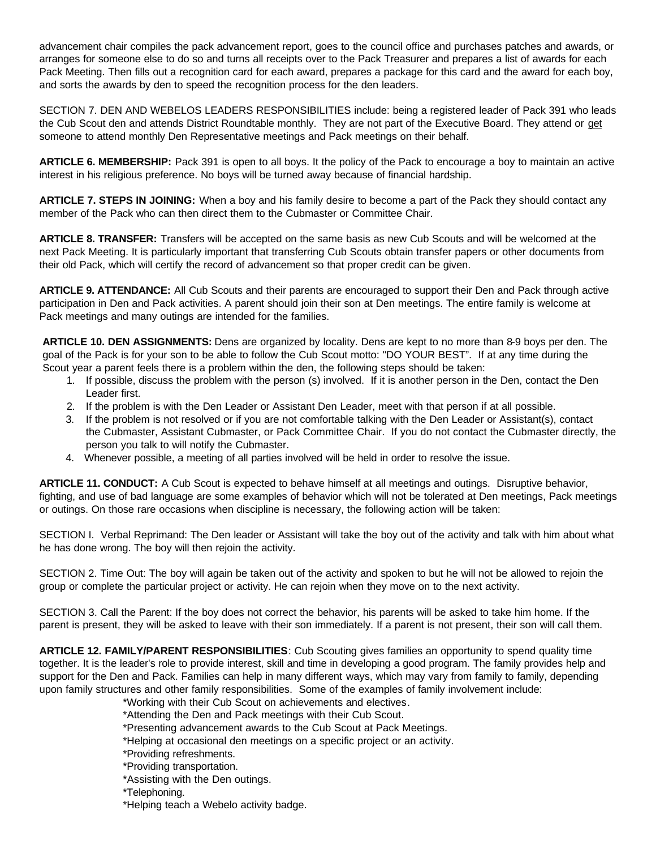advancement chair compiles the pack advancement report, goes to the council office and purchases patches and awards, or arranges for someone else to do so and turns all receipts over to the Pack Treasurer and prepares a list of awards for each Pack Meeting. Then fills out a recognition card for each award, prepares a package for this card and the award for each boy, and sorts the awards by den to speed the recognition process for the den leaders.

SECTION 7. DEN AND WEBELOS LEADERS RESPONSIBILITIES include: being a registered leader of Pack 391 who leads the Cub Scout den and attends District Roundtable monthly. They are not part of the Executive Board. They attend or get someone to attend monthly Den Representative meetings and Pack meetings on their behalf.

**ARTICLE 6. MEMBERSHIP:** Pack 391 is open to all boys. It the policy of the Pack to encourage a boy to maintain an active interest in his religious preference. No boys will be turned away because of financial hardship.

**ARTICLE 7. STEPS IN JOINING:** When a boy and his family desire to become a part of the Pack they should contact any member of the Pack who can then direct them to the Cubmaster or Committee Chair.

**ARTICLE 8. TRANSFER:** Transfers will be accepted on the same basis as new Cub Scouts and will be welcomed at the next Pack Meeting. It is particularly important that transferring Cub Scouts obtain transfer papers or other documents from their old Pack, which will certify the record of advancement so that proper credit can be given.

**ARTICLE 9. ATTENDANCE:** All Cub Scouts and their parents are encouraged to support their Den and Pack through active participation in Den and Pack activities. A parent should join their son at Den meetings. The entire family is welcome at Pack meetings and many outings are intended for the families.

**ARTICLE 10. DEN ASSIGNMENTS:** Dens are organized by locality. Dens are kept to no more than 8-9 boys per den. The goal of the Pack is for your son to be able to follow the Cub Scout motto: "DO YOUR BEST". If at any time during the Scout year a parent feels there is a problem within the den, the following steps should be taken:

- 1. If possible, discuss the problem with the person (s) involved. If it is another person in the Den, contact the Den Leader first.
- 2. If the problem is with the Den Leader or Assistant Den Leader, meet with that person if at all possible.
- 3. If the problem is not resolved or if you are not comfortable talking with the Den Leader or Assistant(s), contact the Cubmaster, Assistant Cubmaster, or Pack Committee Chair. If you do not contact the Cubmaster directly, the person you talk to will notify the Cubmaster.
- 4. Whenever possible, a meeting of all parties involved will be held in order to resolve the issue.

**ARTICLE 11. CONDUCT:** A Cub Scout is expected to behave himself at all meetings and outings. Disruptive behavior, fighting, and use of bad language are some examples of behavior which will not be tolerated at Den meetings, Pack meetings or outings. On those rare occasions when discipline is necessary, the following action will be taken:

SECTION I. Verbal Reprimand: The Den leader or Assistant will take the boy out of the activity and talk with him about what he has done wrong. The boy will then rejoin the activity.

SECTION 2. Time Out: The boy will again be taken out of the activity and spoken to but he will not be allowed to rejoin the group or complete the particular project or activity. He can rejoin when they move on to the next activity.

SECTION 3. Call the Parent: If the boy does not correct the behavior, his parents will be asked to take him home. If the parent is present, they will be asked to leave with their son immediately. If a parent is not present, their son will call them.

**ARTICLE 12. FAMILY/PARENT RESPONSIBILITIES**: Cub Scouting gives families an opportunity to spend quality time together. It is the leader's role to provide interest, skill and time in developing a good program. The family provides help and support for the Den and Pack. Families can help in many different ways, which may vary from family to family, depending upon family structures and other family responsibilities. Some of the examples of family involvement include:

\*Working with their Cub Scout on achievements and electives.

\*Attending the Den and Pack meetings with their Cub Scout.

\*Presenting advancement awards to the Cub Scout at Pack Meetings.

\*Helping at occasional den meetings on a specific project or an activity.

\*Providing refreshments.

\*Providing transportation.

\*Assisting with the Den outings.

\*Telephoning.

\*Helping teach a Webelo activity badge.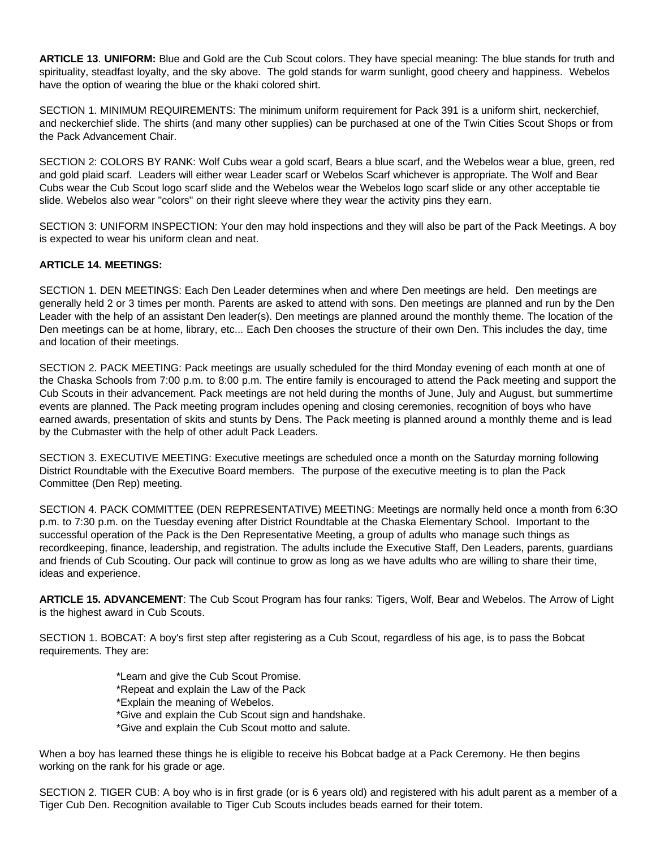**ARTICLE 13**. **UNIFORM:** Blue and Gold are the Cub Scout colors. They have special meaning: The blue stands for truth and spirituality, steadfast loyalty, and the sky above. The gold stands for warm sunlight, good cheery and happiness. Webelos have the option of wearing the blue or the khaki colored shirt.

SECTION 1. MINIMUM REQUIREMENTS: The minimum uniform requirement for Pack 391 is a uniform shirt, neckerchief, and neckerchief slide. The shirts (and many other supplies) can be purchased at one of the Twin Cities Scout Shops or from the Pack Advancement Chair.

SECTION 2: COLORS BY RANK: Wolf Cubs wear a gold scarf, Bears a blue scarf, and the Webelos wear a blue, green, red and gold plaid scarf. Leaders will either wear Leader scarf or Webelos Scarf whichever is appropriate. The Wolf and Bear Cubs wear the Cub Scout logo scarf slide and the Webelos wear the Webelos logo scarf slide or any other acceptable tie slide. Webelos also wear "colors" on their right sleeve where they wear the activity pins they earn.

SECTION 3: UNIFORM INSPECTION: Your den may hold inspections and they will also be part of the Pack Meetings. A boy is expected to wear his uniform clean and neat.

### **ARTICLE 14. MEETINGS:**

SECTION 1. DEN MEETINGS: Each Den Leader determines when and where Den meetings are held. Den meetings are generally held 2 or 3 times per month. Parents are asked to attend with sons. Den meetings are planned and run by the Den Leader with the help of an assistant Den leader(s). Den meetings are planned around the monthly theme. The location of the Den meetings can be at home, library, etc... Each Den chooses the structure of their own Den. This includes the day, time and location of their meetings.

SECTION 2. PACK MEETING: Pack meetings are usually scheduled for the third Monday evening of each month at one of the Chaska Schools from 7:00 p.m. to 8:00 p.m. The entire family is encouraged to attend the Pack meeting and support the Cub Scouts in their advancement. Pack meetings are not held during the months of June, July and August, but summertime events are planned. The Pack meeting program includes opening and closing ceremonies, recognition of boys who have earned awards, presentation of skits and stunts by Dens. The Pack meeting is planned around a monthly theme and is lead by the Cubmaster with the help of other adult Pack Leaders.

SECTION 3. EXECUTIVE MEETING: Executive meetings are scheduled once a month on the Saturday morning following District Roundtable with the Executive Board members. The purpose of the executive meeting is to plan the Pack Committee (Den Rep) meeting.

SECTION 4. PACK COMMITTEE (DEN REPRESENTATIVE) MEETING: Meetings are normally held once a month from 6:3O p.m. to 7:30 p.m. on the Tuesday evening after District Roundtable at the Chaska Elementary School. Important to the successful operation of the Pack is the Den Representative Meeting, a group of adults who manage such things as recordkeeping, finance, leadership, and registration. The adults include the Executive Staff, Den Leaders, parents, guardians and friends of Cub Scouting. Our pack will continue to grow as long as we have adults who are willing to share their time, ideas and experience.

**ARTICLE 15. ADVANCEMENT**: The Cub Scout Program has four ranks: Tigers, Wolf, Bear and Webelos. The Arrow of Light is the highest award in Cub Scouts.

SECTION 1. BOBCAT: A boy's first step after registering as a Cub Scout, regardless of his age, is to pass the Bobcat requirements. They are:

> \*Learn and give the Cub Scout Promise. \*Repeat and explain the Law of the Pack \*Explain the meaning of Webelos. \*Give and explain the Cub Scout sign and handshake. \*Give and explain the Cub Scout motto and salute.

When a boy has learned these things he is eligible to receive his Bobcat badge at a Pack Ceremony. He then begins working on the rank for his grade or age.

SECTION 2. TIGER CUB: A boy who is in first grade (or is 6 years old) and registered with his adult parent as a member of a Tiger Cub Den. Recognition available to Tiger Cub Scouts includes beads earned for their totem.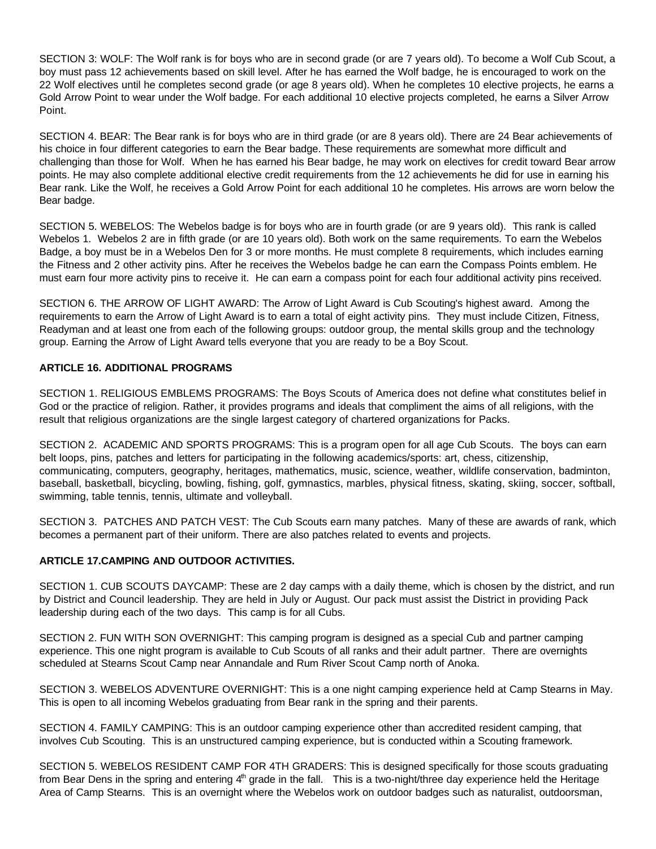SECTION 3: WOLF: The Wolf rank is for boys who are in second grade (or are 7 years old). To become a Wolf Cub Scout, a boy must pass 12 achievements based on skill level. After he has earned the Wolf badge, he is encouraged to work on the 22 Wolf electives until he completes second grade (or age 8 years old). When he completes 10 elective projects, he earns a Gold Arrow Point to wear under the Wolf badge. For each additional 10 elective projects completed, he earns a Silver Arrow Point.

SECTION 4. BEAR: The Bear rank is for boys who are in third grade (or are 8 years old). There are 24 Bear achievements of his choice in four different categories to earn the Bear badge. These requirements are somewhat more difficult and challenging than those for Wolf. When he has earned his Bear badge, he may work on electives for credit toward Bear arrow points. He may also complete additional elective credit requirements from the 12 achievements he did for use in earning his Bear rank. Like the Wolf, he receives a Gold Arrow Point for each additional 10 he completes. His arrows are worn below the Bear badge.

SECTION 5. WEBELOS: The Webelos badge is for boys who are in fourth grade (or are 9 years old). This rank is called Webelos 1. Webelos 2 are in fifth grade (or are 10 years old). Both work on the same requirements. To earn the Webelos Badge, a boy must be in a Webelos Den for 3 or more months. He must complete 8 requirements, which includes earning the Fitness and 2 other activity pins. After he receives the Webelos badge he can earn the Compass Points emblem. He must earn four more activity pins to receive it. He can earn a compass point for each four additional activity pins received.

SECTION 6. THE ARROW OF LIGHT AWARD: The Arrow of Light Award is Cub Scouting's highest award. Among the requirements to earn the Arrow of Light Award is to earn a total of eight activity pins. They must include Citizen, Fitness, Readyman and at least one from each of the following groups: outdoor group, the mental skills group and the technology group. Earning the Arrow of Light Award tells everyone that you are ready to be a Boy Scout.

## **ARTICLE 16. ADDITIONAL PROGRAMS**

SECTION 1. RELIGIOUS EMBLEMS PROGRAMS: The Boys Scouts of America does not define what constitutes belief in God or the practice of religion. Rather, it provides programs and ideals that compliment the aims of all religions, with the result that religious organizations are the single largest category of chartered organizations for Packs.

SECTION 2. ACADEMIC AND SPORTS PROGRAMS: This is a program open for all age Cub Scouts. The boys can earn belt loops, pins, patches and letters for participating in the following academics/sports: art, chess, citizenship, communicating, computers, geography, heritages, mathematics, music, science, weather, wildlife conservation, badminton, baseball, basketball, bicycling, bowling, fishing, golf, gymnastics, marbles, physical fitness, skating, skiing, soccer, softball, swimming, table tennis, tennis, ultimate and volleyball.

SECTION 3. PATCHES AND PATCH VEST: The Cub Scouts earn many patches. Many of these are awards of rank, which becomes a permanent part of their uniform. There are also patches related to events and projects.

## **ARTICLE 17.CAMPING AND OUTDOOR ACTIVITIES.**

SECTION 1. CUB SCOUTS DAYCAMP: These are 2 day camps with a daily theme, which is chosen by the district, and run by District and Council leadership. They are held in July or August. Our pack must assist the District in providing Pack leadership during each of the two days. This camp is for all Cubs.

SECTION 2. FUN WITH SON OVERNIGHT: This camping program is designed as a special Cub and partner camping experience. This one night program is available to Cub Scouts of all ranks and their adult partner. There are overnights scheduled at Stearns Scout Camp near Annandale and Rum River Scout Camp north of Anoka.

SECTION 3. WEBELOS ADVENTURE OVERNIGHT: This is a one night camping experience held at Camp Stearns in May. This is open to all incoming Webelos graduating from Bear rank in the spring and their parents.

SECTION 4. FAMILY CAMPING: This is an outdoor camping experience other than accredited resident camping, that involves Cub Scouting. This is an unstructured camping experience, but is conducted within a Scouting framework.

SECTION 5. WEBELOS RESIDENT CAMP FOR 4TH GRADERS: This is designed specifically for those scouts graduating from Bear Dens in the spring and entering  $4<sup>th</sup>$  grade in the fall. This is a two-night/three day experience held the Heritage Area of Camp Stearns. This is an overnight where the Webelos work on outdoor badges such as naturalist, outdoorsman,